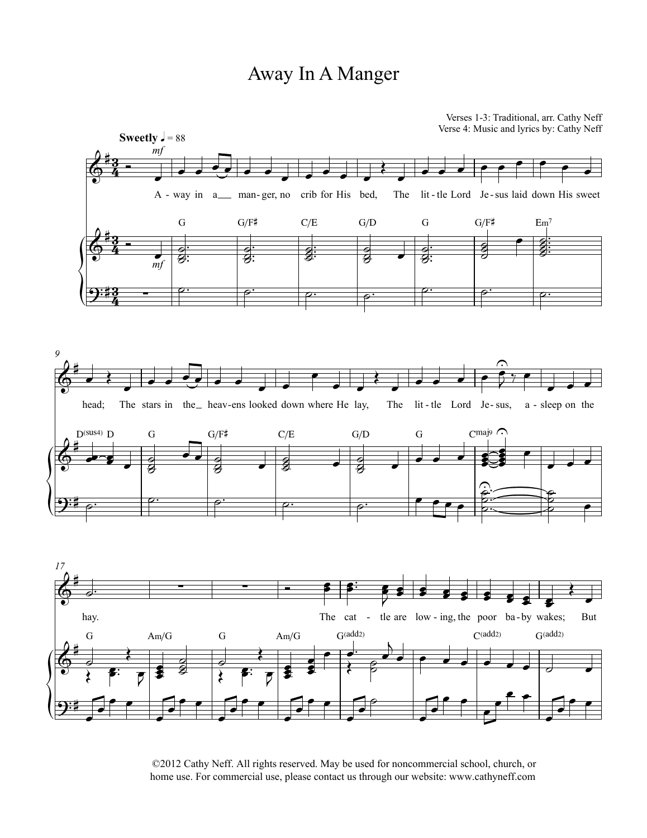## Away InA Manger



©2012 Cathy Neff. All rights reserved. May be used for noncommercial school, church, or home use. For commercial use, please contact us through our website: www.cathyneff.com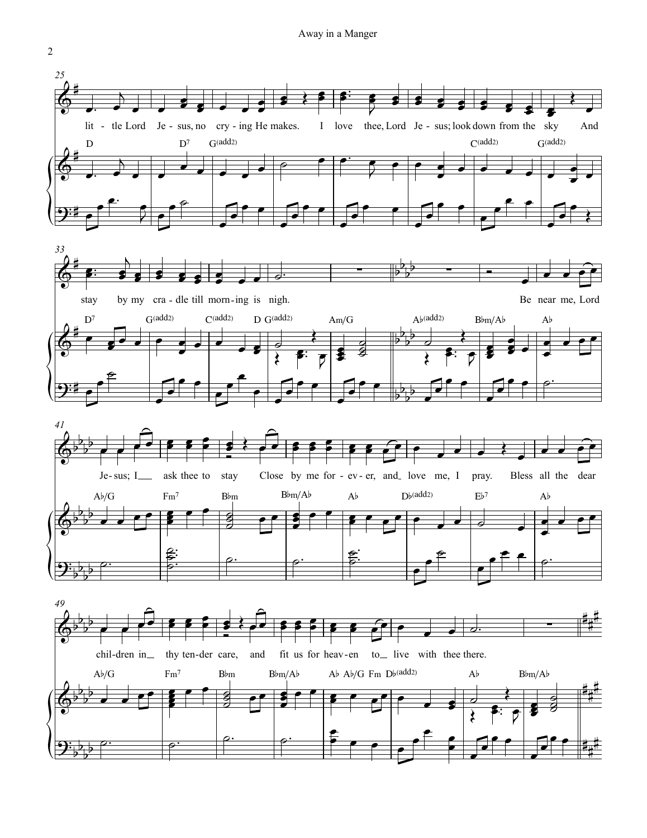